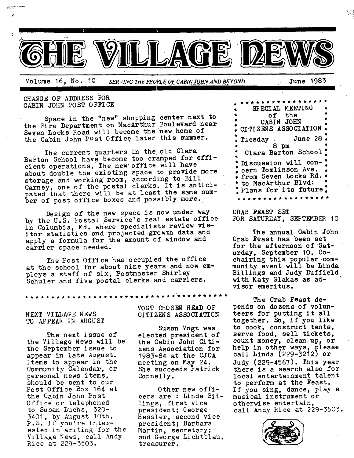

<u>i</u>

Volume 16, No. 10 *SERVING THE PEOPLE OF CABIN JOHN AND BEYOND* June 1983

 $\mathbb{R}$ 

**CHAN OF ADDRESS FOR**  CABIN JOHN PO ST 0 FFI CE

٠ï

Space in the "new" shopping center next to the Fire Department on MacArthur Boulevard near Seven Locks Road will become the new home of the Cabin John post 0ffice later this summer.

The current quarters in the old Clara Barton School have become too cramped for efficient operations. The new office will have about double the existing space to provide more storage and working room, according to Bill Carney, one of the postal clerks. It is anticipated that there will be at least the same number of post office boxes and possibly more.

Design of the new space is now under way by the U.S. Postal Service's real estate office in Columbia, Md. where specialists review visitor statistics and projected growth data and apply a formula for the amount of window and carrier space needed.

The Post Office has occupied the office at the school for about nine years and now employs a staff of six, Postmaster Shirley Schuler and five postal clerks and carriers.

NEXT VILLAGE NEWS TO APPEAR IN AUGUST

The next issue of the Village News will be the September issue to appear in late August. Items to appear in the Community Calendar, or personal news items, should be sent to our Post Office Box 164 at the Cabin John Post Office or telephoned to Susan Luchs, 320- 3401, by August 10th. P.S. If you're interested in writing for the Village News, call Andy Rice at 229-3503.

VOGT CHOSEN HEAD OF CITIZENS ASSOCIATION

Susan Vogt was elected president of the Cabin John Citizens Association for 1983-84 at the CJCA meeting on May 24. She succeeds Patrick Connelly.

Other new officers are : Linda Billings, first vice president; George Hessler, second vice president; Barbara Martin, secretary; and George Lichtblau, treasurer.

\* \* \* \* \* \* \* \* \* \* \* \* \* \* \* \* SPECIAL MEETING **• of the " •** CABIN JOHN **"**  CITIZENS ASSOCIATION **•**  Tuesday June 28 **• 8 pm •**  Clara Barton School Discussion will concern Tomlinson Ave. from Seven Locks Rd. • to MacArthur Blvd: Plans for its future. . . . . . . . . **.** . **.** 

CRAB FEAST SET FOR SATURDAY, SEFTEMBER 10

The annual Cabin John Crab Feast has been set for the afternoon of Saturday, September 10. Cochairing this popular community event will be Linda Billings and Judy Duffield with Katy Glakas as advisor emeritus.

The Crab Feast depends on dozens of volunteers for putting it all together. So, if you like to cook, construct tents, serve food, sell tickets, count money, clean up, or help in other ways, please call Linda (229-3212) or Judy (229-4567). This year there is a search also for local entertainment talent to perform at the Feast. If you sing, dance, play a musical instrument or otherwise entertain, call Andy Rice at 229-5503.

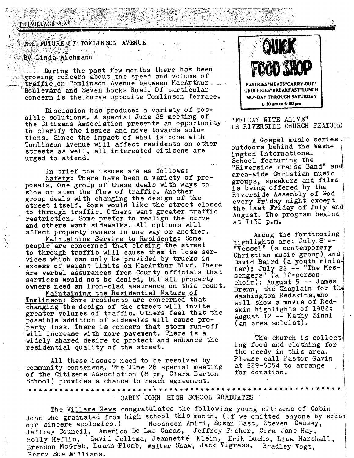### PHEVILLAGE SEWS

# THE FUTURE OF TOMLINSON AVENUE.

## By Linda Wichmann

During the past few months there has been growing concern about the speed and volume of traffic on Tomlinson Avenue between MacArthur. Boulevard and Seven Locks Road. Of particular concern is the curve opposite Tomlinson Terrace.

Discussion has produced a variety of possible solutions. A special June 28 meeting of the Citizens Association presents an opportunity to clarify the issues and move towards solutions. Since the impact of what is done with Tomlinson Avenue will affect residents on other streets as well, all interested citizens are urged to attend.

In brief the issues are as follows: Safety: There have been a variety of proposals. One group of these deals with ways to slow or stem the flow of traffic. Another group deals with changing the design of the street itself. Some would like the street closed to through traffic. Others want greater traffic restriction. Some prefer to realign the curve and others want sidewalks. All options will affect property owners in one way or another.

Maintaining Service to Residents: Some people are concerned that closing the street to through traffic will cause them to lose services which can only be provided by trucks in excess of weight limits on MacArthur Blvd. There are verbal assurances from County officials that services would not be denied, but all property owners need an iron-clad assurance on this count.

Maintaining the Residential Nature of Tomlinson: Some residents are concerned that changing the design of the street will invite greater volumes of traffic. Others feel that the possible addition of sidewalks will cause property loss. There is concern that storm run-off will increase with more pavement. There is a widely shared desire to protect and enhance the residential quality of the street.

All these issues need to be resolved by community consensus. The June 28 special meeting of the Citizens Association (8 pm, Clara Barton School) provides a chance to reach agreement.



## "FRIDAY NITE ALIVE" IS RIVERSIDE CHURCH FEATURE

A Gospel music series outdoors behind the Washington International School featuring the "Riverside Praise Band" and area-wide Christian music groups, speakers and films is being offered by the Riverside Assembly of God every Friday night except the last Friday of July and August. The program begins  $at$  7:30  $p.m.$ 

Among the forthcoming highlights are: July 8 --"Vessel" (a contemporary Christian music group) and David Baird (a youth minister); July 22 -- "The Mes-<br>sengers" (a 12-person choir); August  $5$  -- James Brenn, the Chaplain for the Washington Redskins, who will show a movie of Redskin highlights of 1982; August 12 -- Kathy Sinni  $(an \text{ area}$  soloist).

The church is collecting food and clothing for the needy in this area. Please call Pastor Gavin at  $229 - 5054$  to arrange for donation.

# CABIN JOHN HIGH SCHOOL GRADUATES

\*\*\*\*\*

The Village News congratulates the following young citizens of Cabin John who graduated from high school this month. (If we omitted anyone by error Noosheen Amiri, Susan Bast, Steven Causey, our sincere apologies.) Jeffrey Council, Americo De Las Casas, Jeffrey Fisher, Cora Jane Hay, David Jellema, Jeannette Klein, Erik Luchs, Lisa Marshall, Holly Heflin. Brendon McGrab, Luann Plumb, Walter Shaw, Jack Vigrass, Bradley Vogt. Peagy Sue Williams.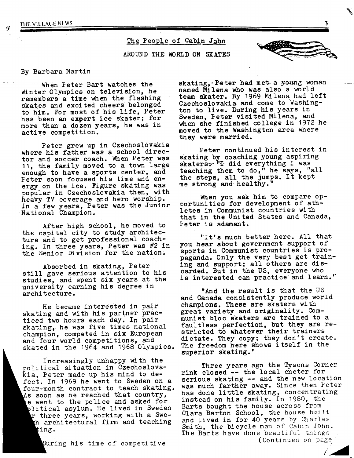THE VILLAGE NEWS

The People of Cabin John

AROUND THE WORLD ON SKATES



#### By Barbara Martin

When Peter Bart watches the Winter Olympics on television, he remembers a time when the flashing skates and excited cheers belonged to him. For most of his life, Peter has been an expert ice skater; for more than a dozen years, he was in active competition.

**! II I ]** 

Peter grew up in Czechoslovakia where his father was a school director and soccer coach. When Peter was 11, the family moved to a town large enough to have a sports center, and Peter soon focused his time and energy on the ice. Figure skating was popular in Czechoslovakia then, with heavy TV coverage and hero worship. In a few years, Peter was the Junior National Champion.

After high school, he moved to the capital city to study architecture and to get professional coaching. In three years, Peter was #2 in the Senior Division for the nation.

Absorbed in skating, Peter still gave serious attention to his studies, and spent six years at the university earning his degree in architecture.

He became interested in pair skating and with his partner practiced two hours each day. In pair skating, he was five times national champion, competed in six European and four world competitions, and skated in the 1964 and 1968 Olympics.

Increasingly unhappy with the political situation in Czechoslovakia, Peter made up his mind to defect. In 1969 he went to Sweden on a four-month contract to teach skating. As soon as he reached that country, e went to the police and asked for plitical asylum. He lived in Sweden r three years, working with a Sweth architectural firm and teaching ting.

During his time of competitive

skating, Peter had met a young woman. named Milena who was also a world team skater. By 1969 Milena had left Czechoslovakia and come to Washington to live. During his years in Sweden, Peter visited Milena, and when she finished college in 1972 he moved to the Washington area where they were married.

Peter continued his interest in skating by coaching young aspiring skaters. "I did everything I was teaching them to do," he says, "all the steps, all the jumps. It kept me strong and healthy."

When you ask him to compare opportunities for development of athletes in Communist countries with that in the United States and Canada, Peter is adamant.

"It's much better here. All that you hear about government support of sports in Communist countries is propaganda. Only the very best get training and support; all others are discarded. But in the US, everyone who is interested can practice and learn."

"And the result is that the US and Canada consistently produce world champions. These are skaters with great variety and originality. Communist bloc skaters are trained to a faultless perfection, but they are restricted to whatever their trainers dictate. They copy; they don't create. The freedom here shows itself in the superior skating."

Three years ago the Tysons Corner rink closed -- the local cneter for serious skating -- and the new location was much farther away. Since then Peter has done little skating, concentrating instead on his family. In 1980, the Barts bought the house across from Clara Barton School, the house built and lived in for 40 years by Charles Smith, the bicycle man of Cabin John. The Barts have done beautiful things. (Continued on page.

 $\mathbf{r}^{\prime}$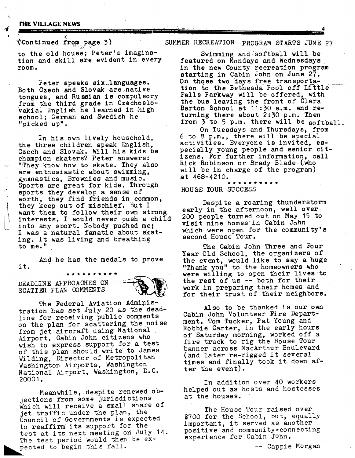#### **rile VILLAGE NEWS**

## ~(~Contlnued from page 3)

to the old house; Peter's imagination and skill are evident in every room •

........ I1[ ~ r°[ii[i~i111iI\_I-1 " [ l'lllllll .......... "~ .................

Peter speaks slx~languages. Both Czech and Slovak are native tongues, and Russian is compulsory from the third grade in Czechoslo-Vakla, English he learned in high school; German and Swedish he "picked up".

In his own lively household, the three children speak English, Czech and Slovak. Will his kids be champion skaters? Peter answers: "They know how to skate. They also are enthusiastic about swimming, gymnastics, Brownies and music. Sports are great for kids. Through sports they develop a sense of worth, they find friends in common, they keep out of mischief. But I want them to follow their own strong interests. I would never push a child into any sport. Nobody pushed me; I was a natural fanatic about skating. It was living and breathing to me. "

And he has the medals to prove it.

## DEADLINE AFPROACHES ON SCATTER PLAN COMMENTS

The Federal Aviation Administration has set July 20 as the deadline for receiving public comments on the plan for scattering the noise from jet aircraft using National Airport. Cabin John citizens who wish to express support for a test of this plan should write to James Wilding, Director of Metropolitan Washington Airports, Washington National Airport, Washington, D.C. 20001.

Meanwhile, despite renewed objections from some jurisdictions which will receive a small share of jet traffic under the plan, the Council of Governments is expected to reaffirm its support for the test at its next meeting on July 14. The test period would then be expected to begin this fall.

## SUMMER RECREATION PROGRAM STARTS JUNE 27

Swimming and softball will be featured on Mondays and Wednesdays in the new County recreation program starting in Cabin John on June 27. On those two days free transportation to the Bethesda Pool off Little Falls Parkway will be offered, with the bus leaving the front of Clara Barton School at 11:30 a.m. and returning there about 2:30 p.m. Then from  $3$  to 5 p.m. there will be softball. On Tuesdays and Thursdays, from

6 to 8 p.m., there will be special activities. Everyone is invited, especially young people and senior citizens. For further informatlon, call Rick Robinson or Brady Blade (who will be in charge of the program) at 468-4210.

# HOUSE TOUR SUCCESS

Despite a roaring thunderstorm early in the afternoon, well over 200 people turned out on May 15 to visit nine homes in Cabin John which were open for the community's second House Tour.

The Cabin John Three and Four Year Old School, the organizers of the event, would llke to say a huge "Thank you" to the homeowners who were willing to open their lives to the rest of us -- both for their work in preparing their homes and for their trust of their neighbors.

Also to be thanked is our own Cabin John Volunteer Fire Department. Tom Tucker, Pat Young and Robble Carter, in the early hours of Saturday morning, worked off a fire truck to rig the House Tour banner across MacArthur Boulevard (and later re-rigged it several times and finally took it down after the event).

In addition over 40 workers helped out as hosts and hostesses at the houses.

The House Tour raised over \$700 for the School, but, equally important, it served as another positive and community-connecting experience for Cabin John.

-- Cappie Morgan

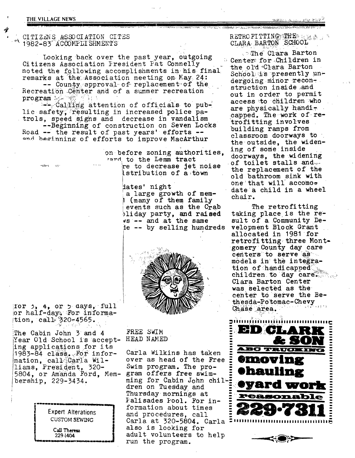#### THE VILLAGE NEWS

CITIZENS ASSOCIATION CITES 1982-83 ACCOMPLISHMENTS

Looking back over the past year, outgoing Citizens Association President Pat Connelly noted the following accomplishments in his final remarks at the Association meeting on May 24: -- County approval of replacement of the Recreation Center and of a summer recreation

program be we find  $-\frac{1}{2}$  Calling attention of officials to public safety, resulting in increased police patrols, speed signs and decrease in vandalism

--Beginning of construction on Seven Locks Road -- the result of past years' efforts -and beginning of efforts to improve MacArthur

> on before zoning authorities, rand to the Lemm tract

re to decrease jet noise istribution of a town

dates' night a large growth of mem-1 (many of them family events such as the Crab bliday party, and raised  $\sqrt{ss}$  -- and at the same ie -- by selling hundreds



for  $\beta$ ,  $\theta$ , or  $\beta$  days, full or half-day. For informa- $\frac{1}{2}$ tion, call 320-4565.

The Cabin John 3 and 4 Year Old School is accepting applications for its 1983-84 class. For information, call Carla Williams, President, 320-5804, or Amanda Ford, Membership, 229-3434.

> Expert Alterations **CUSTOM SEWING** Call Theresa 229-1404

FREE SWIM HEAD NAMED

Carla Wilkins has taken over as head of the Free Swim program. The program offers free swimming for Cabin John chil-E dren on Tuesday and Thursday mornings at Falisades Pool. For information about times and procedures, call Carla at 320-5804. Carla also is looking for adult volunteers to help run the program.

 $\texttt{RETRO}$  FI TTING THE  $\approx$ CLARA BARTON SCHOOL

**The Clara Barton** Center for Children in the old Clara Barton School is presently undergoing minor reconstruction inside and out in order to permit access to children who are physically handicapped. The work of retrofitting involves building ramps from classroom doorways to the outside, the widening of some inside doorways, the widening of toilet stalls and the replacement of the old bathroom sink with one that will accomodate a child in a wheel chair.

The retrofitting taking place is the result of a Community Development Block Grant allocated in 1981 for retrofitting three Montgomery County day care centers to serve as models in the integration of handicapped children to day care. Clara Barton Center was selected as the center to serve the Bethesda-Potomac-Chevy Chase area.